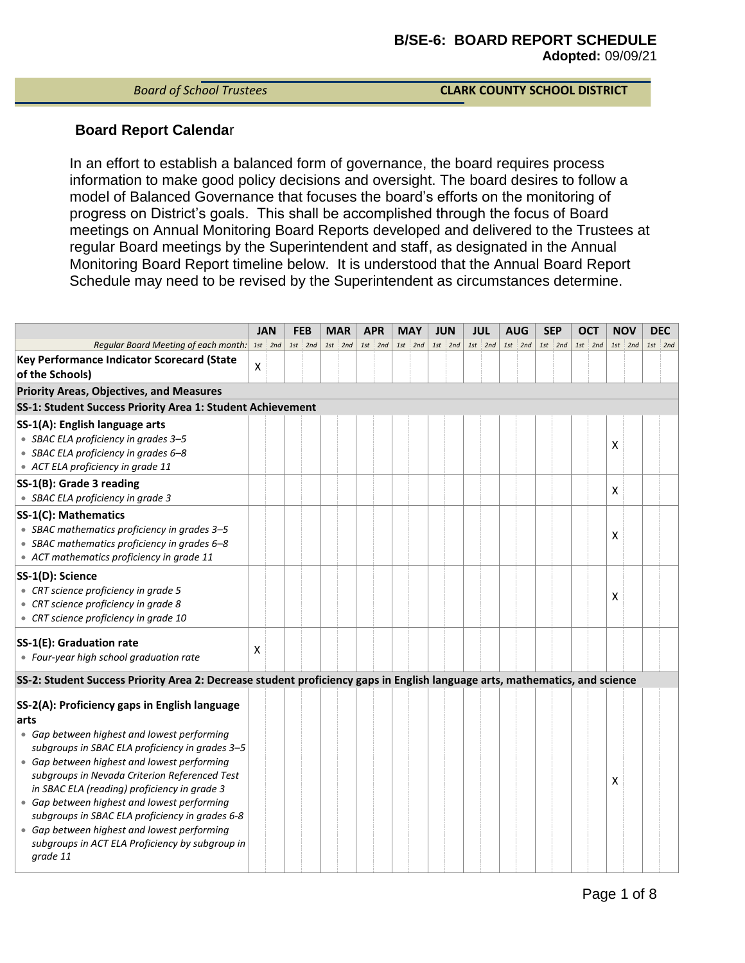#### *Board of School Trustees* **CLARK COUNTY SCHOOL DISTRICT**

### **Board Report Calenda**r

In an effort to establish a balanced form of governance, the board requires process information to make good policy decisions and oversight. The board desires to follow a model of Balanced Governance that focuses the board's efforts on the monitoring of progress on District's goals. This shall be accomplished through the focus of Board meetings on Annual Monitoring Board Reports developed and delivered to the Trustees at regular Board meetings by the Superintendent and staff, as designated in the Annual Monitoring Board Report timeline below. It is understood that the Annual Board Report Schedule may need to be revised by the Superintendent as circumstances determine.

|                                                                                                                                                                                                                                                                                                                                                                                                                                                                                                                         | <b>JAN</b> | <b>FEB</b> | <b>MAR</b> | <b>APR</b> | <b>MAY</b> | <b>JUN</b> | <b>JUL</b> | <b>AUG</b> | <b>SEP</b> |           | ОСТ |           |   | NOV       | <b>DEC</b> |
|-------------------------------------------------------------------------------------------------------------------------------------------------------------------------------------------------------------------------------------------------------------------------------------------------------------------------------------------------------------------------------------------------------------------------------------------------------------------------------------------------------------------------|------------|------------|------------|------------|------------|------------|------------|------------|------------|-----------|-----|-----------|---|-----------|------------|
| Regular Board Meeting of each month:   1st   2nd                                                                                                                                                                                                                                                                                                                                                                                                                                                                        |            | $1st$ 2nd  | $1st$ 2nd  | $1st$ 2nd  | $1st$ 2nd  | $1st$ 2nd  | $1st$ 2nd  | $1st$ 2nd  |            | $1st$ 2nd |     | $1st$ 2nd |   | $1st$ 2nd | $1st$ 2nd  |
| Key Performance Indicator Scorecard (State<br>of the Schools)                                                                                                                                                                                                                                                                                                                                                                                                                                                           | X          |            |            |            |            |            |            |            |            |           |     |           |   |           |            |
| <b>Priority Areas, Objectives, and Measures</b>                                                                                                                                                                                                                                                                                                                                                                                                                                                                         |            |            |            |            |            |            |            |            |            |           |     |           |   |           |            |
| SS-1: Student Success Priority Area 1: Student Achievement                                                                                                                                                                                                                                                                                                                                                                                                                                                              |            |            |            |            |            |            |            |            |            |           |     |           |   |           |            |
| SS-1(A): English language arts<br>• SBAC ELA proficiency in grades 3-5<br>• SBAC ELA proficiency in grades 6-8<br>• ACT ELA proficiency in grade 11                                                                                                                                                                                                                                                                                                                                                                     |            |            |            |            |            |            |            |            |            |           |     |           | X |           |            |
| SS-1(B): Grade 3 reading<br>• SBAC ELA proficiency in grade 3                                                                                                                                                                                                                                                                                                                                                                                                                                                           |            |            |            |            |            |            |            |            |            |           |     |           | X |           |            |
| <b>SS-1(C): Mathematics</b><br>• SBAC mathematics proficiency in grades 3-5<br>• SBAC mathematics proficiency in grades 6-8<br>• ACT mathematics proficiency in grade 11                                                                                                                                                                                                                                                                                                                                                |            |            |            |            |            |            |            |            |            |           |     |           | x |           |            |
| SS-1(D): Science<br>• CRT science proficiency in grade 5<br>• CRT science proficiency in grade 8<br>• CRT science proficiency in grade 10                                                                                                                                                                                                                                                                                                                                                                               |            |            |            |            |            |            |            |            |            |           |     |           | X |           |            |
| <b>SS-1(E): Graduation rate</b><br>• Four-year high school graduation rate                                                                                                                                                                                                                                                                                                                                                                                                                                              | X          |            |            |            |            |            |            |            |            |           |     |           |   |           |            |
| SS-2: Student Success Priority Area 2: Decrease student proficiency gaps in English language arts, mathematics, and science                                                                                                                                                                                                                                                                                                                                                                                             |            |            |            |            |            |            |            |            |            |           |     |           |   |           |            |
| SS-2(A): Proficiency gaps in English language<br>arts<br>• Gap between highest and lowest performing<br>subgroups in SBAC ELA proficiency in grades 3-5<br>• Gap between highest and lowest performing<br>subgroups in Nevada Criterion Referenced Test<br>in SBAC ELA (reading) proficiency in grade 3<br>• Gap between highest and lowest performing<br>subgroups in SBAC ELA proficiency in grades 6-8<br>• Gap between highest and lowest performing<br>subgroups in ACT ELA Proficiency by subgroup in<br>grade 11 |            |            |            |            |            |            |            |            |            |           |     |           | x |           |            |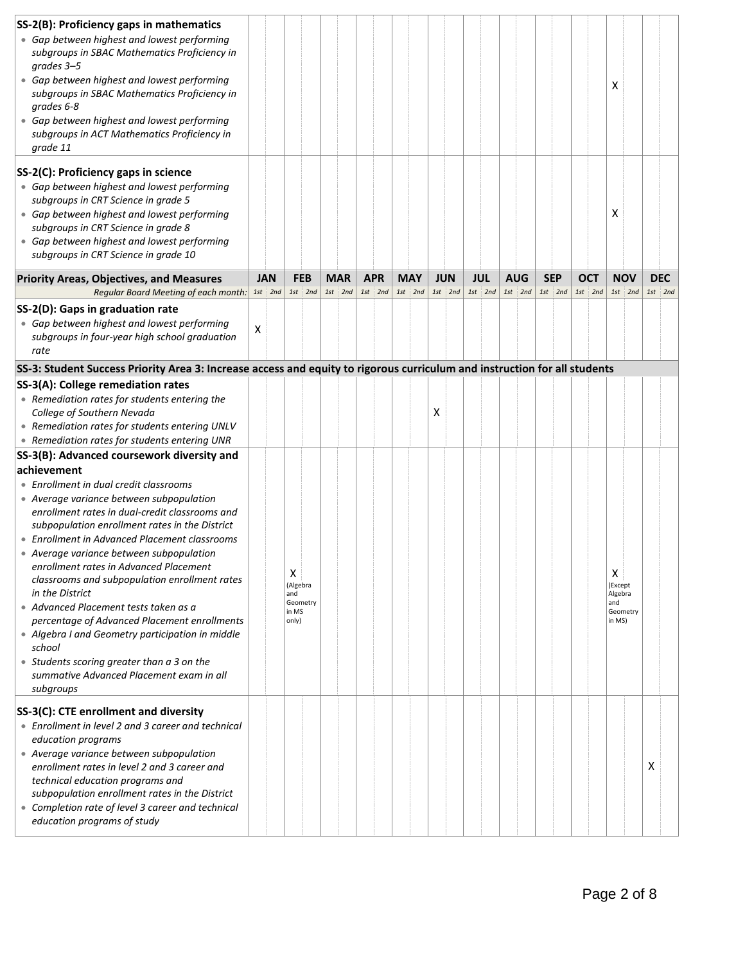| SS-2(B): Proficiency gaps in mathematics<br>• Gap between highest and lowest performing<br>subgroups in SBAC Mathematics Proficiency in  |   |            |                      |            |            |            |            |   |            |            |            |           |            |            |           |                         |            |            |  |
|------------------------------------------------------------------------------------------------------------------------------------------|---|------------|----------------------|------------|------------|------------|------------|---|------------|------------|------------|-----------|------------|------------|-----------|-------------------------|------------|------------|--|
| grades 3-5<br>• Gap between highest and lowest performing<br>subgroups in SBAC Mathematics Proficiency in<br>grades 6-8                  |   |            |                      |            |            |            |            |   |            |            |            |           |            |            |           | X                       |            |            |  |
| • Gap between highest and lowest performing<br>subgroups in ACT Mathematics Proficiency in<br>grade 11                                   |   |            |                      |            |            |            |            |   |            |            |            |           |            |            |           |                         |            |            |  |
| SS-2(C): Proficiency gaps in science                                                                                                     |   |            |                      |            |            |            |            |   |            |            |            |           |            |            |           |                         |            |            |  |
| • Gap between highest and lowest performing<br>subgroups in CRT Science in grade 5                                                       |   |            |                      |            |            |            |            |   |            |            |            |           |            |            |           |                         |            |            |  |
| • Gap between highest and lowest performing                                                                                              |   |            |                      |            |            |            |            |   |            |            |            |           |            |            |           | х                       |            |            |  |
| subgroups in CRT Science in grade 8<br>• Gap between highest and lowest performing<br>subgroups in CRT Science in grade 10               |   |            |                      |            |            |            |            |   |            |            |            |           |            |            |           |                         |            |            |  |
| <b>Priority Areas, Objectives, and Measures</b>                                                                                          |   | <b>JAN</b> |                      | <b>FEB</b> | <b>MAR</b> | <b>APR</b> | <b>MAY</b> |   | <b>JUN</b> | <b>JUL</b> | <b>AUG</b> |           | <b>SEP</b> | <b>OCT</b> |           |                         | <b>NOV</b> | <b>DEC</b> |  |
| Regular Board Meeting of each month:                                                                                                     |   | $1st$ 2nd  |                      | $1st$ 2nd  | $1st$ 2nd  | $1st$ 2nd  | $1st$ 2nd  |   | $1st$ 2nd  | $1st$ 2nd  |            | $1st$ 2nd | $1st$ 2nd  |            | $1st$ 2nd |                         | $1st$ 2nd  | $1st$ 2nd  |  |
| SS-2(D): Gaps in graduation rate<br>• Gap between highest and lowest performing<br>subgroups in four-year high school graduation<br>rate | X |            |                      |            |            |            |            |   |            |            |            |           |            |            |           |                         |            |            |  |
| SS-3: Student Success Priority Area 3: Increase access and equity to rigorous curriculum and instruction for all students                |   |            |                      |            |            |            |            |   |            |            |            |           |            |            |           |                         |            |            |  |
| SS-3(A): College remediation rates                                                                                                       |   |            |                      |            |            |            |            |   |            |            |            |           |            |            |           |                         |            |            |  |
| • Remediation rates for students entering the<br>College of Southern Nevada                                                              |   |            |                      |            |            |            |            | х |            |            |            |           |            |            |           |                         |            |            |  |
| • Remediation rates for students entering UNLV                                                                                           |   |            |                      |            |            |            |            |   |            |            |            |           |            |            |           |                         |            |            |  |
| • Remediation rates for students entering UNR                                                                                            |   |            |                      |            |            |            |            |   |            |            |            |           |            |            |           |                         |            |            |  |
| SS-3(B): Advanced coursework diversity and                                                                                               |   |            |                      |            |            |            |            |   |            |            |            |           |            |            |           |                         |            |            |  |
| achievement                                                                                                                              |   |            |                      |            |            |            |            |   |            |            |            |           |            |            |           |                         |            |            |  |
| • Enrollment in dual credit classrooms                                                                                                   |   |            |                      |            |            |            |            |   |            |            |            |           |            |            |           |                         |            |            |  |
| • Average variance between subpopulation                                                                                                 |   |            |                      |            |            |            |            |   |            |            |            |           |            |            |           |                         |            |            |  |
| enrollment rates in dual-credit classrooms and                                                                                           |   |            |                      |            |            |            |            |   |            |            |            |           |            |            |           |                         |            |            |  |
| subpopulation enrollment rates in the District<br>• Enrollment in Advanced Placement classrooms                                          |   |            |                      |            |            |            |            |   |            |            |            |           |            |            |           |                         |            |            |  |
| Average variance between subpopulation                                                                                                   |   |            |                      |            |            |            |            |   |            |            |            |           |            |            |           |                         |            |            |  |
| enrollment rates in Advanced Placement                                                                                                   |   |            |                      |            |            |            |            |   |            |            |            |           |            |            |           |                         |            |            |  |
| classrooms and subpopulation enrollment rates<br>in the District                                                                         |   |            | x<br>(Algebra<br>and |            |            |            |            |   |            |            |            |           |            |            |           | X<br>(Except<br>Algebra |            |            |  |
| • Advanced Placement tests taken as a                                                                                                    |   |            |                      | Geometry   |            |            |            |   |            |            |            |           |            |            |           | and                     |            |            |  |
| percentage of Advanced Placement enrollments                                                                                             |   |            | in MS<br>only)       |            |            |            |            |   |            |            |            |           |            |            |           | Geometry<br>in MS)      |            |            |  |
| • Algebra I and Geometry participation in middle<br>school                                                                               |   |            |                      |            |            |            |            |   |            |            |            |           |            |            |           |                         |            |            |  |
| • Students scoring greater than a 3 on the                                                                                               |   |            |                      |            |            |            |            |   |            |            |            |           |            |            |           |                         |            |            |  |
| summative Advanced Placement exam in all<br>subgroups                                                                                    |   |            |                      |            |            |            |            |   |            |            |            |           |            |            |           |                         |            |            |  |
| SS-3(C): CTE enrollment and diversity                                                                                                    |   |            |                      |            |            |            |            |   |            |            |            |           |            |            |           |                         |            |            |  |
| • Enrollment in level 2 and 3 career and technical                                                                                       |   |            |                      |            |            |            |            |   |            |            |            |           |            |            |           |                         |            |            |  |
| education programs                                                                                                                       |   |            |                      |            |            |            |            |   |            |            |            |           |            |            |           |                         |            |            |  |
| • Average variance between subpopulation                                                                                                 |   |            |                      |            |            |            |            |   |            |            |            |           |            |            |           |                         |            | x          |  |
| enrollment rates in level 2 and 3 career and<br>technical education programs and                                                         |   |            |                      |            |            |            |            |   |            |            |            |           |            |            |           |                         |            |            |  |
| subpopulation enrollment rates in the District                                                                                           |   |            |                      |            |            |            |            |   |            |            |            |           |            |            |           |                         |            |            |  |
| • Completion rate of level 3 career and technical<br>education programs of study                                                         |   |            |                      |            |            |            |            |   |            |            |            |           |            |            |           |                         |            |            |  |
|                                                                                                                                          |   |            |                      |            |            |            |            |   |            |            |            |           |            |            |           |                         |            |            |  |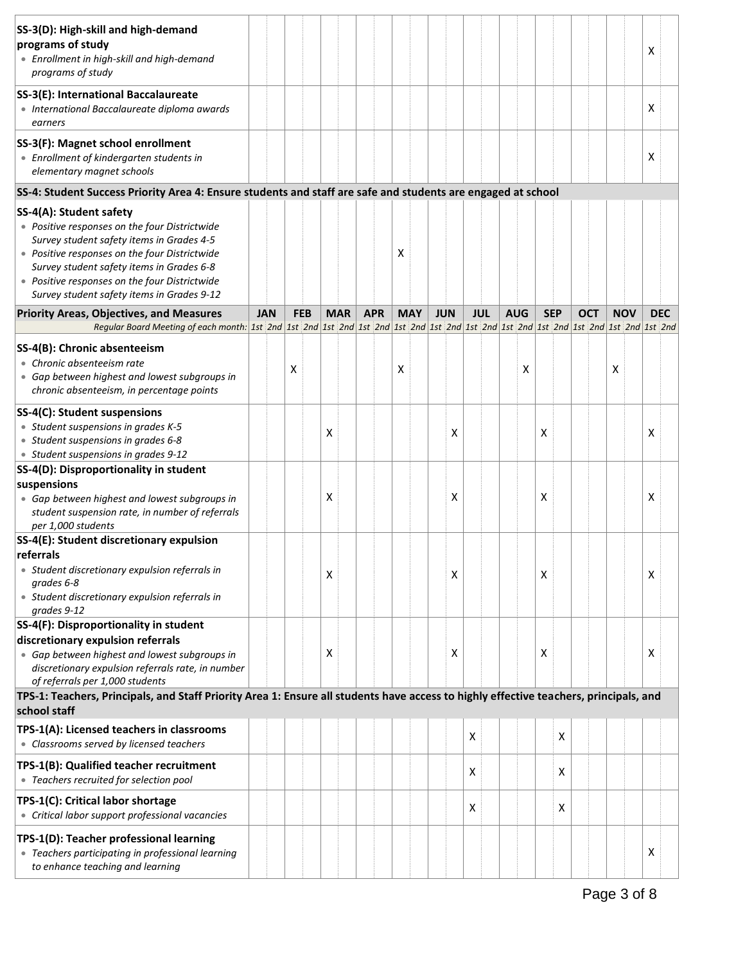| SS-3(D): High-skill and high-demand<br>programs of study<br>• Enrollment in high-skill and high-demand<br>programs of study                                                                                                                                                                                        |            |                           |            |   |            |            |   |            |            |                           |            |   |            |   |            |            | Х                         |  |
|--------------------------------------------------------------------------------------------------------------------------------------------------------------------------------------------------------------------------------------------------------------------------------------------------------------------|------------|---------------------------|------------|---|------------|------------|---|------------|------------|---------------------------|------------|---|------------|---|------------|------------|---------------------------|--|
| SS-3(E): International Baccalaureate<br>· International Baccalaureate diploma awards<br>earners                                                                                                                                                                                                                    |            |                           |            |   |            |            |   |            |            |                           |            |   |            |   |            |            | X                         |  |
| SS-3(F): Magnet school enrollment<br>• Enrollment of kindergarten students in<br>elementary magnet schools                                                                                                                                                                                                         |            |                           |            |   |            |            |   |            |            |                           |            |   |            |   |            |            | х                         |  |
| SS-4: Student Success Priority Area 4: Ensure students and staff are safe and students are engaged at school                                                                                                                                                                                                       |            |                           |            |   |            |            |   |            |            |                           |            |   |            |   |            |            |                           |  |
| SS-4(A): Student safety<br>• Positive responses on the four Districtwide<br>Survey student safety items in Grades 4-5<br>• Positive responses on the four Districtwide<br>Survey student safety items in Grades 6-8<br>• Positive responses on the four Districtwide<br>Survey student safety items in Grades 9-12 |            |                           |            |   |            |            | х |            |            |                           |            |   |            |   |            |            |                           |  |
| <b>Priority Areas, Objectives, and Measures</b>                                                                                                                                                                                                                                                                    | <b>JAN</b> |                           | <b>FEB</b> |   | <b>MAR</b> | <b>APR</b> |   | <b>MAY</b> | <b>JUN</b> | <b>JUL</b>                | <b>AUG</b> |   | <b>SEP</b> |   | <b>OCT</b> | <b>NOV</b> | <b>DEC</b>                |  |
| Regular Board Meeting of each month: 1st 2nd 1st 2nd 1st 2nd 1st 2nd 1st 2nd 1st 2nd 1st 2nd 1st 2nd 1st 2nd 1st 2nd 1st 2nd 1st 2nd 1st 2nd 1st 2nd 1st 2nd 1st 2nd                                                                                                                                               |            |                           |            |   |            |            |   |            |            |                           |            |   |            |   |            |            |                           |  |
| SS-4(B): Chronic absenteeism<br>• Chronic absenteeism rate<br>• Gap between highest and lowest subgroups in<br>chronic absenteeism, in percentage points                                                                                                                                                           |            | $\boldsymbol{\mathsf{X}}$ |            |   |            |            | х |            |            |                           |            | x |            |   |            | X          |                           |  |
| SS-4(C): Student suspensions<br>• Student suspensions in grades K-5<br>• Student suspensions in grades 6-8<br>• Student suspensions in grades 9-12                                                                                                                                                                 |            |                           |            | X |            |            |   |            | X          |                           |            |   | х          |   |            |            | $\boldsymbol{\mathsf{x}}$ |  |
| SS-4(D): Disproportionality in student                                                                                                                                                                                                                                                                             |            |                           |            |   |            |            |   |            |            |                           |            |   |            |   |            |            |                           |  |
| suspensions<br>• Gap between highest and lowest subgroups in<br>student suspension rate, in number of referrals<br>per 1,000 students                                                                                                                                                                              |            |                           |            | х |            |            |   |            | х          |                           |            |   | x          |   |            |            | X                         |  |
| SS-4(E): Student discretionary expulsion                                                                                                                                                                                                                                                                           |            |                           |            |   |            |            |   |            |            |                           |            |   |            |   |            |            |                           |  |
| referrals<br>• Student discretionary expulsion referrals in<br>grades 6-8<br>• Student discretionary expulsion referrals in<br>grades 9-12                                                                                                                                                                         |            |                           |            | х |            |            |   |            | x          |                           |            |   | X          |   |            |            | X                         |  |
| SS-4(F): Disproportionality in student<br>discretionary expulsion referrals<br>• Gap between highest and lowest subgroups in<br>discretionary expulsion referrals rate, in number<br>of referrals per 1,000 students                                                                                               |            |                           |            | Χ |            |            |   |            | x          |                           |            |   | x          |   |            |            | x                         |  |
| TPS-1: Teachers, Principals, and Staff Priority Area 1: Ensure all students have access to highly effective teachers, principals, and                                                                                                                                                                              |            |                           |            |   |            |            |   |            |            |                           |            |   |            |   |            |            |                           |  |
| school staff                                                                                                                                                                                                                                                                                                       |            |                           |            |   |            |            |   |            |            |                           |            |   |            |   |            |            |                           |  |
| TPS-1(A): Licensed teachers in classrooms<br>• Classrooms served by licensed teachers                                                                                                                                                                                                                              |            |                           |            |   |            |            |   |            |            | X                         |            |   |            | X |            |            |                           |  |
| TPS-1(B): Qualified teacher recruitment<br>• Teachers recruited for selection pool                                                                                                                                                                                                                                 |            |                           |            |   |            |            |   |            |            | $\boldsymbol{\mathsf{X}}$ |            |   |            | X |            |            |                           |  |
| TPS-1(C): Critical labor shortage<br>• Critical labor support professional vacancies                                                                                                                                                                                                                               |            |                           |            |   |            |            |   |            |            | X                         |            |   |            | X |            |            |                           |  |
| TPS-1(D): Teacher professional learning<br>• Teachers participating in professional learning<br>to enhance teaching and learning                                                                                                                                                                                   |            |                           |            |   |            |            |   |            |            |                           |            |   |            |   |            |            | X                         |  |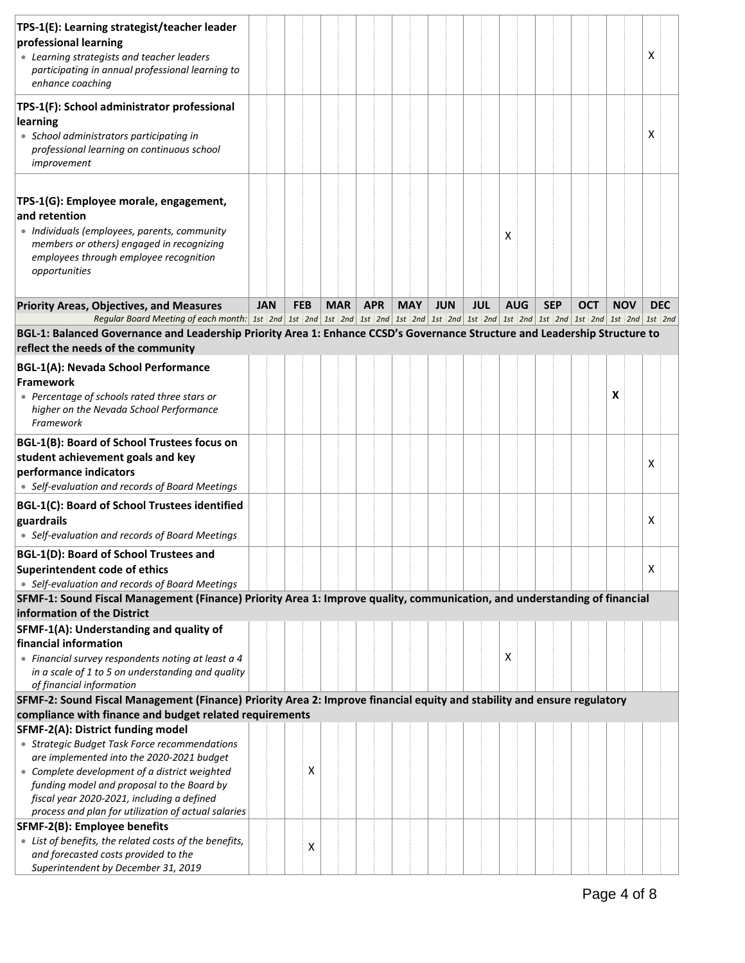| TPS-1(E): Learning strategist/teacher leader<br>professional learning<br>• Learning strategists and teacher leaders<br>participating in annual professional learning to<br>enhance coaching                                             |            |            |   |            |            |            |            |            |            |            |            |   |            | X          |  |
|-----------------------------------------------------------------------------------------------------------------------------------------------------------------------------------------------------------------------------------------|------------|------------|---|------------|------------|------------|------------|------------|------------|------------|------------|---|------------|------------|--|
| TPS-1(F): School administrator professional<br>learning<br>• School administrators participating in<br>professional learning on continuous school<br>improvement                                                                        |            |            |   |            |            |            |            |            |            |            |            |   |            | X          |  |
| TPS-1(G): Employee morale, engagement,<br>and retention<br>· Individuals (employees, parents, community<br>members or others) engaged in recognizing<br>employees through employee recognition<br>opportunities                         |            |            |   |            |            |            |            |            | x          |            |            |   |            |            |  |
| <b>Priority Areas, Objectives, and Measures</b>                                                                                                                                                                                         | <b>JAN</b> | <b>FEB</b> |   | <b>MAR</b> | <b>APR</b> | <b>MAY</b> | <b>JUN</b> | <b>JUL</b> | <b>AUG</b> | <b>SEP</b> | <b>OCT</b> |   | <b>NOV</b> | <b>DEC</b> |  |
| Regular Board Meeting of each month: 1st 2nd 1st 2nd 1st 2nd 1st 2nd 1st 2nd 1st 2nd 1st 2nd 1st 2nd 1st 2nd 1st 2nd 1st 2nd 1st 2nd 1st 2nd 1st 2nd 1st 2nd 1st 2nd                                                                    |            |            |   |            |            |            |            |            |            |            |            |   |            |            |  |
| BGL-1: Balanced Governance and Leadership Priority Area 1: Enhance CCSD's Governance Structure and Leadership Structure to                                                                                                              |            |            |   |            |            |            |            |            |            |            |            |   |            |            |  |
| reflect the needs of the community                                                                                                                                                                                                      |            |            |   |            |            |            |            |            |            |            |            |   |            |            |  |
| <b>BGL-1(A): Nevada School Performance</b><br><b>Framework</b><br>• Percentage of schools rated three stars or<br>higher on the Nevada School Performance<br>Framework                                                                  |            |            |   |            |            |            |            |            |            |            |            | X |            |            |  |
| <b>BGL-1(B): Board of School Trustees focus on</b><br>student achievement goals and key<br>performance indicators<br>• Self-evaluation and records of Board Meetings                                                                    |            |            |   |            |            |            |            |            |            |            |            |   |            | x          |  |
| <b>BGL-1(C): Board of School Trustees identified</b><br>guardrails<br>• Self-evaluation and records of Board Meetings                                                                                                                   |            |            |   |            |            |            |            |            |            |            |            |   |            | X          |  |
| <b>BGL-1(D): Board of School Trustees and</b><br>Superintendent code of ethics<br>• Self-evaluation and records of Board Meetings                                                                                                       |            |            |   |            |            |            |            |            |            |            |            |   |            | Х          |  |
| SFMF-1: Sound Fiscal Management (Finance) Priority Area 1: Improve quality, communication, and understanding of financial                                                                                                               |            |            |   |            |            |            |            |            |            |            |            |   |            |            |  |
| information of the District                                                                                                                                                                                                             |            |            |   |            |            |            |            |            |            |            |            |   |            |            |  |
| SFMF-1(A): Understanding and quality of<br>financial information<br>• Financial survey respondents noting at least a 4<br>in a scale of 1 to 5 on understanding and quality<br>of financial information                                 |            |            |   |            |            |            |            |            | х          |            |            |   |            |            |  |
| SFMF-2: Sound Fiscal Management (Finance) Priority Area 2: Improve financial equity and stability and ensure regulatory                                                                                                                 |            |            |   |            |            |            |            |            |            |            |            |   |            |            |  |
| compliance with finance and budget related requirements                                                                                                                                                                                 |            |            |   |            |            |            |            |            |            |            |            |   |            |            |  |
| SFMF-2(A): District funding model                                                                                                                                                                                                       |            |            |   |            |            |            |            |            |            |            |            |   |            |            |  |
| • Strategic Budget Task Force recommendations<br>are implemented into the 2020-2021 budget<br>• Complete development of a district weighted<br>funding model and proposal to the Board by<br>fiscal year 2020-2021, including a defined |            |            | х |            |            |            |            |            |            |            |            |   |            |            |  |
| process and plan for utilization of actual salaries                                                                                                                                                                                     |            |            |   |            |            |            |            |            |            |            |            |   |            |            |  |
| SFMF-2(B): Employee benefits<br>• List of benefits, the related costs of the benefits,<br>and forecasted costs provided to the<br>Superintendent by December 31, 2019                                                                   |            |            | х |            |            |            |            |            |            |            |            |   |            |            |  |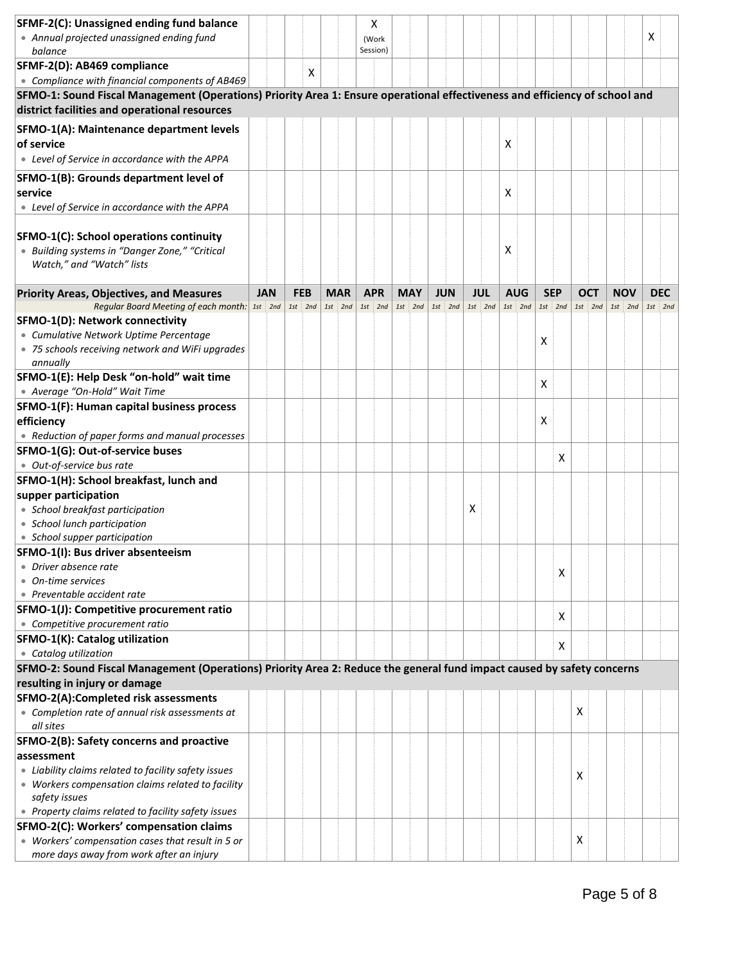| SFMF-2(C): Unassigned ending fund balance                                                                                                                                    |            |            |            | x          |            |            |           |            |            |            |         |            |           |            |            |  |
|------------------------------------------------------------------------------------------------------------------------------------------------------------------------------|------------|------------|------------|------------|------------|------------|-----------|------------|------------|------------|---------|------------|-----------|------------|------------|--|
| • Annual projected unassigned ending fund                                                                                                                                    |            |            |            | (Work      |            |            |           |            |            |            |         |            |           |            | X          |  |
| balance                                                                                                                                                                      |            |            |            | Session)   |            |            |           |            |            |            |         |            |           |            |            |  |
| SFMF-2(D): AB469 compliance                                                                                                                                                  |            | х          |            |            |            |            |           |            |            |            |         |            |           |            |            |  |
| • Compliance with financial components of AB469                                                                                                                              |            |            |            |            |            |            |           |            |            |            |         |            |           |            |            |  |
| SFMO-1: Sound Fiscal Management (Operations) Priority Area 1: Ensure operational effectiveness and efficiency of school and<br>district facilities and operational resources |            |            |            |            |            |            |           |            |            |            |         |            |           |            |            |  |
| SFMO-1(A): Maintenance department levels                                                                                                                                     |            |            |            |            |            |            |           |            |            |            |         |            |           |            |            |  |
| of service                                                                                                                                                                   |            |            |            |            |            |            |           |            | X          |            |         |            |           |            |            |  |
| • Level of Service in accordance with the APPA                                                                                                                               |            |            |            |            |            |            |           |            |            |            |         |            |           |            |            |  |
| SFMO-1(B): Grounds department level of                                                                                                                                       |            |            |            |            |            |            |           |            |            |            |         |            |           |            |            |  |
| service                                                                                                                                                                      |            |            |            |            |            |            |           |            | X          |            |         |            |           |            |            |  |
| • Level of Service in accordance with the APPA                                                                                                                               |            |            |            |            |            |            |           |            |            |            |         |            |           |            |            |  |
|                                                                                                                                                                              |            |            |            |            |            |            |           |            |            |            |         |            |           |            |            |  |
| SFMO-1(C): School operations continuity                                                                                                                                      |            |            |            |            |            |            |           |            |            |            |         |            |           |            |            |  |
| • Building systems in "Danger Zone," "Critical                                                                                                                               |            |            |            |            |            |            |           |            | X          |            |         |            |           |            |            |  |
| Watch," and "Watch" lists                                                                                                                                                    |            |            |            |            |            |            |           |            |            |            |         |            |           |            |            |  |
|                                                                                                                                                                              |            |            |            |            |            |            |           |            |            |            |         |            |           |            |            |  |
| <b>Priority Areas, Objectives, and Measures</b>                                                                                                                              | <b>JAN</b> | <b>FEB</b> | <b>MAR</b> | <b>APR</b> | <b>MAY</b> | <b>JUN</b> |           | <b>JUL</b> | <b>AUG</b> | <b>SEP</b> |         | <b>OCT</b> |           | <b>NOV</b> | <b>DEC</b> |  |
| Regular Board Meeting of each month:   1st   2nd                                                                                                                             |            | $1st$ 2nd  | $1st$ 2nd  | $1st$ 2nd  | $1st$ 2nd  |            | $1st$ 2nd | $1st$ 2nd  | $1st$ 2nd  |            | 1st 2nd |            | $1st$ 2nd | $1st$ 2nd  | $1st$ 2nd  |  |
| SFMO-1(D): Network connectivity                                                                                                                                              |            |            |            |            |            |            |           |            |            |            |         |            |           |            |            |  |
| • Cumulative Network Uptime Percentage                                                                                                                                       |            |            |            |            |            |            |           |            |            | x          |         |            |           |            |            |  |
| • 75 schools receiving network and WiFi upgrades                                                                                                                             |            |            |            |            |            |            |           |            |            |            |         |            |           |            |            |  |
| annually                                                                                                                                                                     |            |            |            |            |            |            |           |            |            |            |         |            |           |            |            |  |
| SFMO-1(E): Help Desk "on-hold" wait time                                                                                                                                     |            |            |            |            |            |            |           |            |            | X          |         |            |           |            |            |  |
| • Average "On-Hold" Wait Time                                                                                                                                                |            |            |            |            |            |            |           |            |            |            |         |            |           |            |            |  |
| SFMO-1(F): Human capital business process                                                                                                                                    |            |            |            |            |            |            |           |            |            | X          |         |            |           |            |            |  |
| efficiency                                                                                                                                                                   |            |            |            |            |            |            |           |            |            |            |         |            |           |            |            |  |
| • Reduction of paper forms and manual processes<br>SFMO-1(G): Out-of-service buses                                                                                           |            |            |            |            |            |            |           |            |            |            |         |            |           |            |            |  |
| • Out-of-service bus rate                                                                                                                                                    |            |            |            |            |            |            |           |            |            |            | x       |            |           |            |            |  |
| SFMO-1(H): School breakfast, lunch and                                                                                                                                       |            |            |            |            |            |            |           |            |            |            |         |            |           |            |            |  |
| supper participation                                                                                                                                                         |            |            |            |            |            |            |           |            |            |            |         |            |           |            |            |  |
| • School breakfast participation                                                                                                                                             |            |            |            |            |            |            |           | X          |            |            |         |            |           |            |            |  |
| • School lunch participation                                                                                                                                                 |            |            |            |            |            |            |           |            |            |            |         |            |           |            |            |  |
| • School supper participation                                                                                                                                                |            |            |            |            |            |            |           |            |            |            |         |            |           |            |            |  |
| SFMO-1(I): Bus driver absenteeism                                                                                                                                            |            |            |            |            |            |            |           |            |            |            |         |            |           |            |            |  |
| • Driver absence rate                                                                                                                                                        |            |            |            |            |            |            |           |            |            |            |         |            |           |            |            |  |
| • On-time services                                                                                                                                                           |            |            |            |            |            |            |           |            |            |            | x       |            |           |            |            |  |
| • Preventable accident rate                                                                                                                                                  |            |            |            |            |            |            |           |            |            |            |         |            |           |            |            |  |
| SFMO-1(J): Competitive procurement ratio                                                                                                                                     |            |            |            |            |            |            |           |            |            |            |         |            |           |            |            |  |
| • Competitive procurement ratio                                                                                                                                              |            |            |            |            |            |            |           |            |            |            | X       |            |           |            |            |  |
| SFMO-1(K): Catalog utilization                                                                                                                                               |            |            |            |            |            |            |           |            |            |            | X       |            |           |            |            |  |
| • Catalog utilization                                                                                                                                                        |            |            |            |            |            |            |           |            |            |            |         |            |           |            |            |  |
| SFMO-2: Sound Fiscal Management (Operations) Priority Area 2: Reduce the general fund impact caused by safety concerns                                                       |            |            |            |            |            |            |           |            |            |            |         |            |           |            |            |  |
| resulting in injury or damage                                                                                                                                                |            |            |            |            |            |            |           |            |            |            |         |            |           |            |            |  |
| SFMO-2(A):Completed risk assessments                                                                                                                                         |            |            |            |            |            |            |           |            |            |            |         |            |           |            |            |  |
| • Completion rate of annual risk assessments at                                                                                                                              |            |            |            |            |            |            |           |            |            |            |         | х          |           |            |            |  |
| all sites                                                                                                                                                                    |            |            |            |            |            |            |           |            |            |            |         |            |           |            |            |  |
| SFMO-2(B): Safety concerns and proactive                                                                                                                                     |            |            |            |            |            |            |           |            |            |            |         |            |           |            |            |  |
| assessment                                                                                                                                                                   |            |            |            |            |            |            |           |            |            |            |         |            |           |            |            |  |
| • Liability claims related to facility safety issues                                                                                                                         |            |            |            |            |            |            |           |            |            |            |         | х          |           |            |            |  |
| • Workers compensation claims related to facility                                                                                                                            |            |            |            |            |            |            |           |            |            |            |         |            |           |            |            |  |
| safety issues                                                                                                                                                                |            |            |            |            |            |            |           |            |            |            |         |            |           |            |            |  |
| • Property claims related to facility safety issues                                                                                                                          |            |            |            |            |            |            |           |            |            |            |         |            |           |            |            |  |
| SFMO-2(C): Workers' compensation claims                                                                                                                                      |            |            |            |            |            |            |           |            |            |            |         |            |           |            |            |  |
| • Workers' compensation cases that result in 5 or<br>more days away from work after an injury                                                                                |            |            |            |            |            |            |           |            |            |            |         | х          |           |            |            |  |
|                                                                                                                                                                              |            |            |            |            |            |            |           |            |            |            |         |            |           |            |            |  |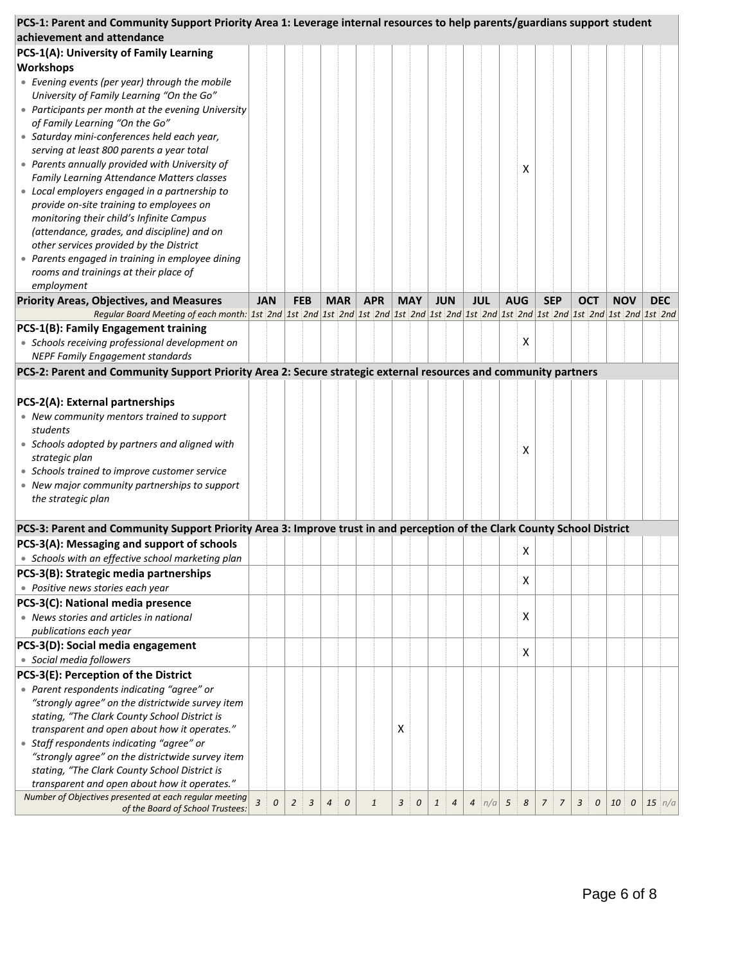| PCS-1: Parent and Community Support Priority Area 1: Leverage internal resources to help parents/guardians support student                                                                                                     |                |   |                |   |            |                               |   |            |              |                |                  |     |            |   |                |                |            |   |            |                  |            |
|--------------------------------------------------------------------------------------------------------------------------------------------------------------------------------------------------------------------------------|----------------|---|----------------|---|------------|-------------------------------|---|------------|--------------|----------------|------------------|-----|------------|---|----------------|----------------|------------|---|------------|------------------|------------|
| achievement and attendance                                                                                                                                                                                                     |                |   |                |   |            |                               |   |            |              |                |                  |     |            |   |                |                |            |   |            |                  |            |
| PCS-1(A): University of Family Learning                                                                                                                                                                                        |                |   |                |   |            |                               |   |            |              |                |                  |     |            |   |                |                |            |   |            |                  |            |
| Workshops                                                                                                                                                                                                                      |                |   |                |   |            |                               |   |            |              |                |                  |     |            |   |                |                |            |   |            |                  |            |
| • Evening events (per year) through the mobile<br>University of Family Learning "On the Go"                                                                                                                                    |                |   |                |   |            |                               |   |            |              |                |                  |     |            |   |                |                |            |   |            |                  |            |
| • Participants per month at the evening University                                                                                                                                                                             |                |   |                |   |            |                               |   |            |              |                |                  |     |            |   |                |                |            |   |            |                  |            |
| of Family Learning "On the Go"<br>• Saturday mini-conferences held each year,                                                                                                                                                  |                |   |                |   |            |                               |   |            |              |                |                  |     |            |   |                |                |            |   |            |                  |            |
| serving at least 800 parents a year total<br>• Parents annually provided with University of                                                                                                                                    |                |   |                |   |            |                               |   |            |              |                |                  |     |            |   |                |                |            |   |            |                  |            |
| Family Learning Attendance Matters classes                                                                                                                                                                                     |                |   |                |   |            |                               |   |            |              |                |                  |     |            | X |                |                |            |   |            |                  |            |
| • Local employers engaged in a partnership to<br>provide on-site training to employees on<br>monitoring their child's Infinite Campus                                                                                          |                |   |                |   |            |                               |   |            |              |                |                  |     |            |   |                |                |            |   |            |                  |            |
| (attendance, grades, and discipline) and on<br>other services provided by the District                                                                                                                                         |                |   |                |   |            |                               |   |            |              |                |                  |     |            |   |                |                |            |   |            |                  |            |
| • Parents engaged in training in employee dining<br>rooms and trainings at their place of                                                                                                                                      |                |   |                |   |            |                               |   |            |              |                |                  |     |            |   |                |                |            |   |            |                  |            |
| employment                                                                                                                                                                                                                     |                |   |                |   |            |                               |   |            |              |                |                  |     |            |   |                |                |            |   |            |                  |            |
| <b>Priority Areas, Objectives, and Measures</b>                                                                                                                                                                                | <b>JAN</b>     |   | <b>FEB</b>     |   | <b>MAR</b> | <b>APR</b>                    |   | <b>MAY</b> | <b>JUN</b>   |                | <b>JUL</b>       |     | <b>AUG</b> |   | <b>SEP</b>     |                | <b>OCT</b> |   | <b>NOV</b> |                  | <b>DEC</b> |
| Regular Board Meeting of each month:   1st   2nd   1st   2nd   1st   2nd   1st   2nd   1st   2nd   1st   2nd   1st   2nd   1st   2nd   1st   2nd   1st   2nd   1st   2nd   1st   2nd   1st   2nd   1st   2nd   1st   2nd   1st |                |   |                |   |            |                               |   |            |              |                |                  |     |            |   |                |                |            |   |            |                  |            |
| PCS-1(B): Family Engagement training                                                                                                                                                                                           |                |   |                |   |            |                               |   |            |              |                |                  |     |            |   |                |                |            |   |            |                  |            |
| • Schools receiving professional development on<br><b>NEPF Family Engagement standards</b>                                                                                                                                     |                |   |                |   |            |                               |   |            |              |                |                  |     |            | X |                |                |            |   |            |                  |            |
| PCS-2: Parent and Community Support Priority Area 2: Secure strategic external resources and community partners                                                                                                                |                |   |                |   |            |                               |   |            |              |                |                  |     |            |   |                |                |            |   |            |                  |            |
|                                                                                                                                                                                                                                |                |   |                |   |            |                               |   |            |              |                |                  |     |            |   |                |                |            |   |            |                  |            |
|                                                                                                                                                                                                                                |                |   |                |   |            |                               |   |            |              |                |                  |     |            |   |                |                |            |   |            |                  |            |
| PCS-2(A): External partnerships                                                                                                                                                                                                |                |   |                |   |            |                               |   |            |              |                |                  |     |            |   |                |                |            |   |            |                  |            |
| • New community mentors trained to support<br>students                                                                                                                                                                         |                |   |                |   |            |                               |   |            |              |                |                  |     |            |   |                |                |            |   |            |                  |            |
| • Schools adopted by partners and aligned with                                                                                                                                                                                 |                |   |                |   |            |                               |   |            |              |                |                  |     |            | x |                |                |            |   |            |                  |            |
| strategic plan                                                                                                                                                                                                                 |                |   |                |   |            |                               |   |            |              |                |                  |     |            |   |                |                |            |   |            |                  |            |
| • Schools trained to improve customer service                                                                                                                                                                                  |                |   |                |   |            |                               |   |            |              |                |                  |     |            |   |                |                |            |   |            |                  |            |
| • New major community partnerships to support<br>the strategic plan                                                                                                                                                            |                |   |                |   |            |                               |   |            |              |                |                  |     |            |   |                |                |            |   |            |                  |            |
| PCS-3: Parent and Community Support Priority Area 3: Improve trust in and perception of the Clark County School District                                                                                                       |                |   |                |   |            |                               |   |            |              |                |                  |     |            |   |                |                |            |   |            |                  |            |
| PCS-3(A): Messaging and support of schools                                                                                                                                                                                     |                |   |                |   |            |                               |   |            |              |                |                  |     |            |   |                |                |            |   |            |                  |            |
| • Schools with an effective school marketing plan                                                                                                                                                                              |                |   |                |   |            |                               |   |            |              |                |                  |     |            | X |                |                |            |   |            |                  |            |
| PCS-3(B): Strategic media partnerships                                                                                                                                                                                         |                |   |                |   |            |                               |   |            |              |                |                  |     |            |   |                |                |            |   |            |                  |            |
| • Positive news stories each year                                                                                                                                                                                              |                |   |                |   |            |                               |   |            |              |                |                  |     |            | X |                |                |            |   |            |                  |            |
| PCS-3(C): National media presence                                                                                                                                                                                              |                |   |                |   |            |                               |   |            |              |                |                  |     |            |   |                |                |            |   |            |                  |            |
| • News stories and articles in national                                                                                                                                                                                        |                |   |                |   |            |                               |   |            |              |                |                  |     |            | X |                |                |            |   |            |                  |            |
| publications each year                                                                                                                                                                                                         |                |   |                |   |            |                               |   |            |              |                |                  |     |            |   |                |                |            |   |            |                  |            |
| PCS-3(D): Social media engagement                                                                                                                                                                                              |                |   |                |   |            |                               |   |            |              |                |                  |     |            |   |                |                |            |   |            |                  |            |
| • Social media followers                                                                                                                                                                                                       |                |   |                |   |            |                               |   |            |              |                |                  |     |            | X |                |                |            |   |            |                  |            |
| PCS-3(E): Perception of the District                                                                                                                                                                                           |                |   |                |   |            |                               |   |            |              |                |                  |     |            |   |                |                |            |   |            |                  |            |
| • Parent respondents indicating "agree" or                                                                                                                                                                                     |                |   |                |   |            |                               |   |            |              |                |                  |     |            |   |                |                |            |   |            |                  |            |
| "strongly agree" on the districtwide survey item                                                                                                                                                                               |                |   |                |   |            |                               |   |            |              |                |                  |     |            |   |                |                |            |   |            |                  |            |
| stating, "The Clark County School District is                                                                                                                                                                                  |                |   |                |   |            |                               |   |            |              |                |                  |     |            |   |                |                |            |   |            |                  |            |
| transparent and open about how it operates."                                                                                                                                                                                   |                |   |                |   |            |                               | х |            |              |                |                  |     |            |   |                |                |            |   |            |                  |            |
| • Staff respondents indicating "agree" or                                                                                                                                                                                      |                |   |                |   |            |                               |   |            |              |                |                  |     |            |   |                |                |            |   |            |                  |            |
| "strongly agree" on the districtwide survey item                                                                                                                                                                               |                |   |                |   |            |                               |   |            |              |                |                  |     |            |   |                |                |            |   |            |                  |            |
| stating, "The Clark County School District is                                                                                                                                                                                  |                |   |                |   |            |                               |   |            |              |                |                  |     |            |   |                |                |            |   |            |                  |            |
| transparent and open about how it operates."                                                                                                                                                                                   |                |   |                |   |            |                               |   |            |              |                |                  |     |            |   |                |                |            |   |            |                  |            |
| Number of Objectives presented at each regular meeting<br>of the Board of School Trustees:                                                                                                                                     | $\overline{3}$ | 0 | $\overline{2}$ | 3 | 0<br>4     | $\ensuremath{\mathnormal{1}}$ | 3 | 0          | $\mathbf{1}$ | $\overline{4}$ | $\boldsymbol{4}$ | n/a | 5          | 8 | 7 <sup>1</sup> | $\overline{7}$ | 3          | 0 | 10         | $\boldsymbol{0}$ | $15 \ln/a$ |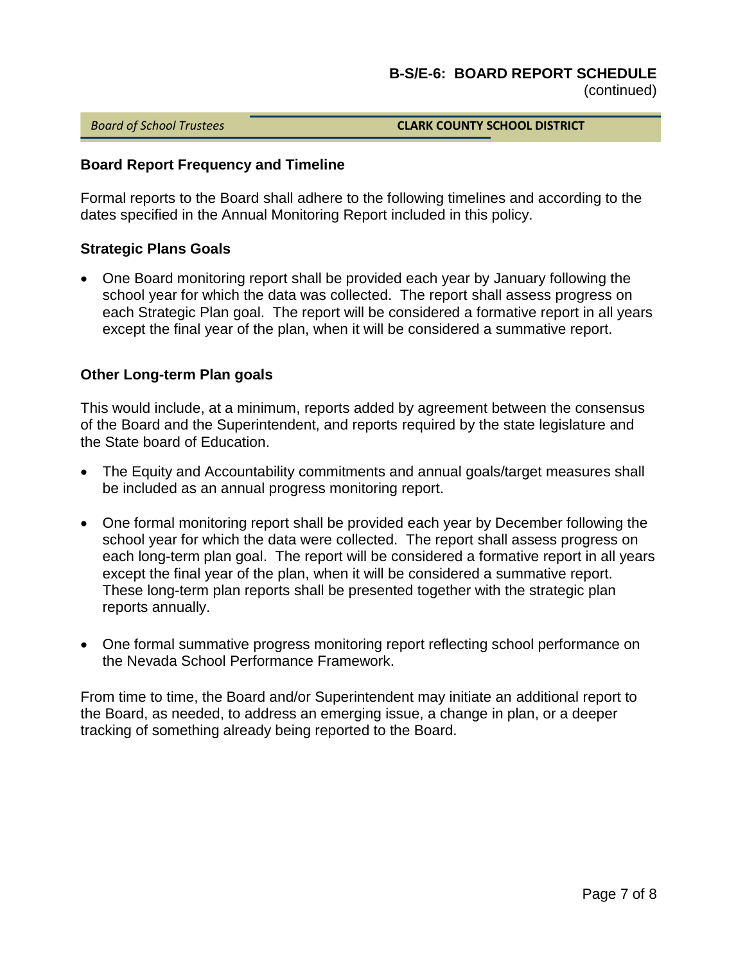(continued)

*Board of School Trustees* **CLARK COUNTY SCHOOL DISTRICT**

# **Board Report Frequency and Timeline**

Formal reports to the Board shall adhere to the following timelines and according to the dates specified in the Annual Monitoring Report included in this policy.

# **Strategic Plans Goals**

 One Board monitoring report shall be provided each year by January following the school year for which the data was collected. The report shall assess progress on each Strategic Plan goal. The report will be considered a formative report in all years except the final year of the plan, when it will be considered a summative report.

# **Other Long-term Plan goals**

This would include, at a minimum, reports added by agreement between the consensus of the Board and the Superintendent, and reports required by the state legislature and the State board of Education.

- The Equity and Accountability commitments and annual goals/target measures shall be included as an annual progress monitoring report.
- One formal monitoring report shall be provided each year by December following the school year for which the data were collected. The report shall assess progress on each long-term plan goal. The report will be considered a formative report in all years except the final year of the plan, when it will be considered a summative report. These long-term plan reports shall be presented together with the strategic plan reports annually.
- One formal summative progress monitoring report reflecting school performance on the Nevada School Performance Framework.

From time to time, the Board and/or Superintendent may initiate an additional report to the Board, as needed, to address an emerging issue, a change in plan, or a deeper tracking of something already being reported to the Board.